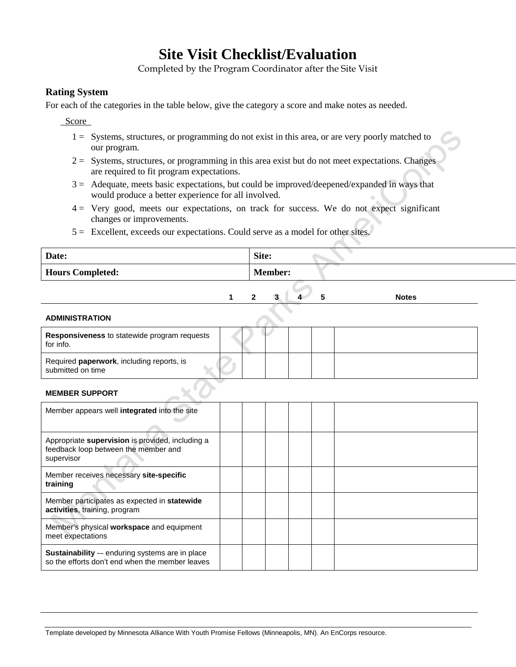## **Site Visit Checklist/Evaluation**

Completed by the Program Coordinator after the Site Visit

## **Rating System**

For each of the categories in the table below, give the category a score and make notes as needed.

Score

- our program.  $1 =$  Systems, structures, or programming do not exist in this area, or are very poorly matched to
- 2 = Systems, structures, or programming in this area exist but do not meet expectations. Changes are required to fit program expectations.
- would produce a better experience for all involved. 3 = Adequate, meets basic expectations, but could be improved/deepened/expanded in ways that
- 4 = Very good, meets our expectations, on track for success. We do not expect significant changes or improvements.
- 5 = Excellent, exceeds our expectations. Could serve as a model for other sites.

| Date:                   | Site:          |
|-------------------------|----------------|
| <b>Hours Completed:</b> | <b>Member:</b> |

**1 2 3 4 5 Notes** 

| <b>Responsiveness</b> to statewide program requests<br>for info. |  |  |  |
|------------------------------------------------------------------|--|--|--|
| Required paperwork, including reports, is<br>submitted on time   |  |  |  |
| <b>MEMBER SUPPORT</b>                                            |  |  |  |

### **MEMBER SUPPORT**

| Member appears well integrated into the site                                                           |  |  |  |
|--------------------------------------------------------------------------------------------------------|--|--|--|
| Appropriate supervision is provided, including a<br>feedback loop between the member and<br>supervisor |  |  |  |
| Member receives necessary site-specific<br>training                                                    |  |  |  |
| Member participates as expected in statewide<br>activities, training, program                          |  |  |  |
| Member's physical workspace and equipment<br>meet expectations                                         |  |  |  |
| Sustainability -- enduring systems are in place<br>so the efforts don't end when the member leaves     |  |  |  |